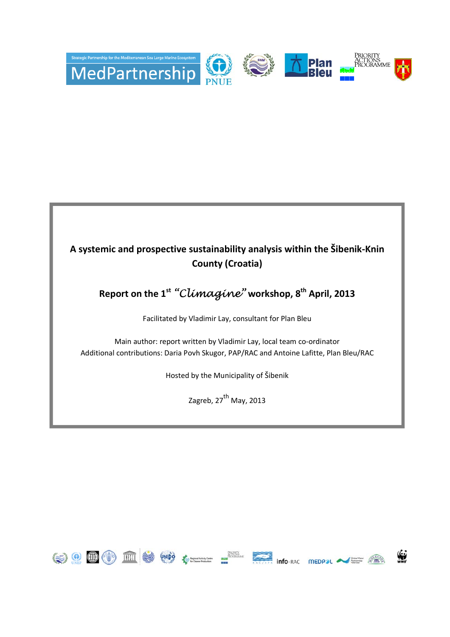

## **A systemic and prospective sustainability analysis within the Šibenik-Knin County (Croatia)**

## **Report on the 1st** "Climagine" **workshop, 8th April, 2013**

Facilitated by Vladimir Lay, consultant for Plan Bleu

Main author: report written by Vladimir Lay, local team co-ordinator Additional contributions: Daria Povh Skugor, PAP/RAC and Antoine Lafitte, Plan Bleu/RAC

Hosted by the Municipality of Šibenik

Zagreb, 27<sup>th</sup> May, 2013

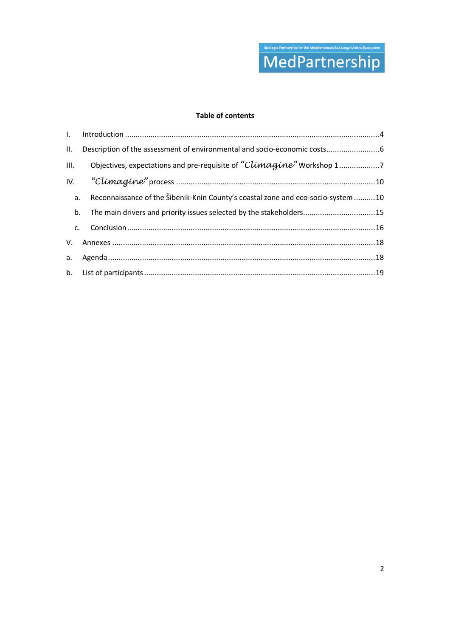

#### **Table of contents**

|    | II. Description of the assessment of environmental and socio-economic costs 6       |  |
|----|-------------------------------------------------------------------------------------|--|
|    | III. Objectives, expectations and pre-requisite of "Climagine" Workshop 17          |  |
|    |                                                                                     |  |
|    | a. Reconnaissance of the Šibenik-Knin County's coastal zone and eco-socio-system 10 |  |
| b. | The main drivers and priority issues selected by the stakeholders15                 |  |
|    |                                                                                     |  |
|    |                                                                                     |  |
|    |                                                                                     |  |
|    |                                                                                     |  |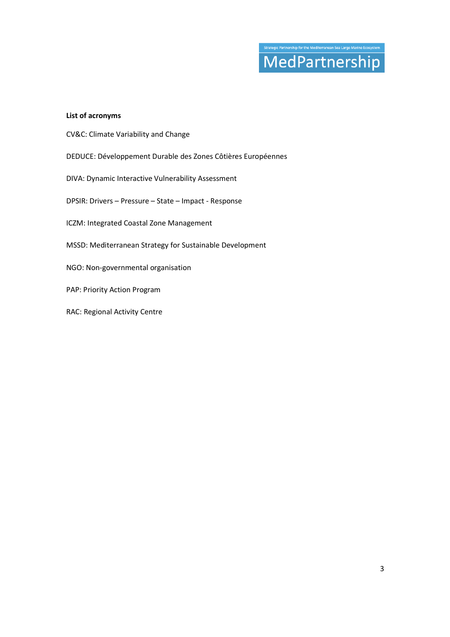# MedPartnership

#### **List of acronyms**

- CV&C: Climate Variability and Change
- DEDUCE: Développement Durable des Zones Côtières Européennes
- DIVA: Dynamic Interactive Vulnerability Assessment
- DPSIR: Drivers Pressure State Impact Response
- ICZM: Integrated Coastal Zone Management
- MSSD: Mediterranean Strategy for Sustainable Development
- NGO: Non-governmental organisation
- PAP: Priority Action Program
- RAC: Regional Activity Centre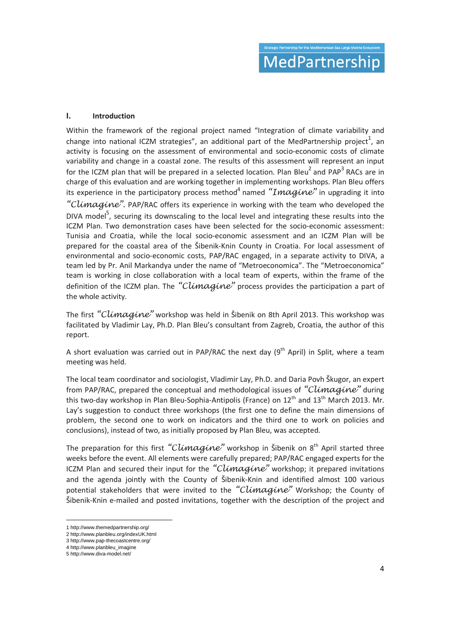#### **I. Introduction**

Within the framework of the regional project named "Integration of climate variability and change into national ICZM strategies", an additional part of the MedPartnership project $^1$ , an activity is focusing on the assessment of environmental and socio-economic costs of climate variability and change in a coastal zone. The results of this assessment will represent an input for the ICZM plan that will be prepared in a selected location. Plan Bleu<sup>2</sup> and PAP<sup>3</sup> RACs are in charge of this evaluation and are working together in implementing workshops. Plan Bleu offers its experience in the participatory process method<sup>4</sup> named " $\bm{Image}$ " in upgrading it into "Climagine". PAP/RAC offers its experience in working with the team who developed the DIVA model<sup>5</sup>, securing its downscaling to the local level and integrating these results into the ICZM Plan. Two demonstration cases have been selected for the socio-economic assessment: Tunisia and Croatia, while the local socio-economic assessment and an ICZM Plan will be prepared for the coastal area of the Šibenik-Knin County in Croatia. For local assessment of environmental and socio-economic costs, PAP/RAC engaged, in a separate activity to DIVA, a team led by Pr. Anil Markandya under the name of "Metroeconomica". The "Metroeconomica" team is working in close collaboration with a local team of experts, within the frame of the definition of the ICZM plan. The "Climagine" process provides the participation a part of the whole activity.

The first "Climagine" workshop was held in Šibenik on 8th April 2013. This workshop was facilitated by Vladimir Lay, Ph.D. Plan Bleu's consultant from Zagreb, Croatia, the author of this report.

A short evaluation was carried out in PAP/RAC the next day  $(9^{th}$  April) in Split, where a team meeting was held.

The local team coordinator and sociologist, Vladimir Lay, Ph.D. and Daria Povh Škugor, an expert from PAP/RAC, prepared the conceptual and methodological issues of "Climagine" during this two-day workshop in Plan Bleu-Sophia-Antipolis (France) on  $12<sup>th</sup>$  and  $13<sup>th</sup>$  March 2013. Mr. Lay's suggestion to conduct three workshops (the first one to define the main dimensions of problem, the second one to work on indicators and the third one to work on policies and conclusions), instead of two, as initially proposed by Plan Bleu, was accepted.

The preparation for this first "Climagine" workshop in Šibenik on  $8<sup>th</sup>$  April started three weeks before the event. All elements were carefully prepared; PAP/RAC engaged experts for the ICZM Plan and secured their input for the "Climagine" workshop; it prepared invitations and the agenda jointly with the County of Šibenik-Knin and identified almost 100 various potential stakeholders that were invited to the "Climagine" Workshop; the County of Šibenik-Knin e-mailed and posted invitations, together with the description of the project and

<u>.</u>

<sup>1</sup> http://www.themedpartnership.org/

<sup>2</sup> http://www.planbleu.org/indexUK.html

<sup>3</sup> http://www.pap-thecoastcentre.org/

<sup>4</sup> http://www.planbleu\_imagine

<sup>5</sup> http://www.diva-model.net/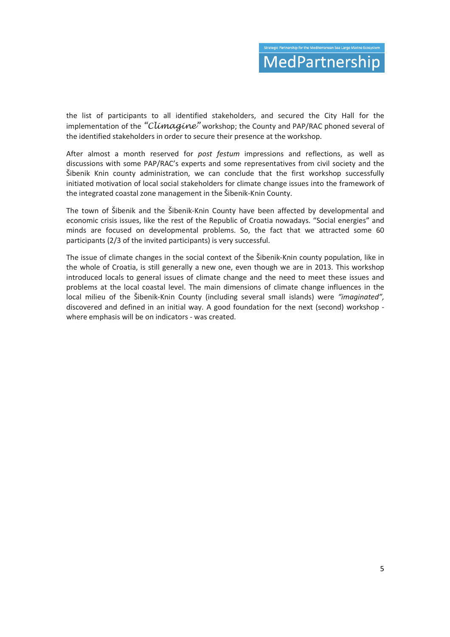the list of participants to all identified stakeholders, and secured the City Hall for the implementation of the "Climagine" workshop; the County and PAP/RAC phoned several of the identified stakeholders in order to secure their presence at the workshop.

After almost a month reserved for *post festum* impressions and reflections, as well as discussions with some PAP/RAC's experts and some representatives from civil society and the Šibenik Knin county administration, we can conclude that the first workshop successfully initiated motivation of local social stakeholders for climate change issues into the framework of the integrated coastal zone management in the Šibenik-Knin County.

The town of Šibenik and the Šibenik-Knin County have been affected by developmental and economic crisis issues, like the rest of the Republic of Croatia nowadays. "Social energies" and minds are focused on developmental problems. So, the fact that we attracted some 60 participants (2/3 of the invited participants) is very successful.

The issue of climate changes in the social context of the Šibenik-Knin county population, like in the whole of Croatia, is still generally a new one, even though we are in 2013. This workshop introduced locals to general issues of climate change and the need to meet these issues and problems at the local coastal level. The main dimensions of climate change influences in the local milieu of the Šibenik-Knin County (including several small islands) were *"imaginated",* discovered and defined in an initial way. A good foundation for the next (second) workshop where emphasis will be on indicators - was created.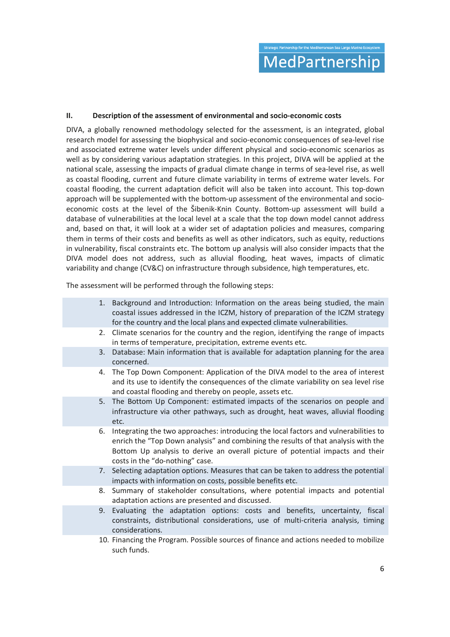#### **II. Description of the assessment of environmental and socio-economic costs**

DIVA, a globally renowned methodology selected for the assessment, is an integrated, global research model for assessing the biophysical and socio-economic consequences of sea-level rise and associated extreme water levels under different physical and socio-economic scenarios as well as by considering various adaptation strategies. In this project, DIVA will be applied at the national scale, assessing the impacts of gradual climate change in terms of sea-level rise, as well as coastal flooding, current and future climate variability in terms of extreme water levels. For coastal flooding, the current adaptation deficit will also be taken into account. This top-down approach will be supplemented with the bottom-up assessment of the environmental and socioeconomic costs at the level of the Šibenik-Knin County. Bottom-up assessment will build a database of vulnerabilities at the local level at a scale that the top down model cannot address and, based on that, it will look at a wider set of adaptation policies and measures, comparing them in terms of their costs and benefits as well as other indicators, such as equity, reductions in vulnerability, fiscal constraints etc. The bottom up analysis will also consider impacts that the DIVA model does not address, such as alluvial flooding, heat waves, impacts of climatic variability and change (CV&C) on infrastructure through subsidence, high temperatures, etc.

The assessment will be performed through the following steps:

|    | 1. Background and Introduction: Information on the areas being studied, the main<br>coastal issues addressed in the ICZM, history of preparation of the ICZM strategy<br>for the country and the local plans and expected climate vulnerabilities.                                              |
|----|-------------------------------------------------------------------------------------------------------------------------------------------------------------------------------------------------------------------------------------------------------------------------------------------------|
|    | 2. Climate scenarios for the country and the region, identifying the range of impacts<br>in terms of temperature, precipitation, extreme events etc.                                                                                                                                            |
|    | 3. Database: Main information that is available for adaptation planning for the area<br>concerned.                                                                                                                                                                                              |
|    | 4. The Top Down Component: Application of the DIVA model to the area of interest<br>and its use to identify the consequences of the climate variability on sea level rise<br>and coastal flooding and thereby on people, assets etc.                                                            |
| 5. | The Bottom Up Component: estimated impacts of the scenarios on people and<br>infrastructure via other pathways, such as drought, heat waves, alluvial flooding<br>etc.                                                                                                                          |
| 6. | Integrating the two approaches: introducing the local factors and vulnerabilities to<br>enrich the "Top Down analysis" and combining the results of that analysis with the<br>Bottom Up analysis to derive an overall picture of potential impacts and their<br>costs in the "do-nothing" case. |
|    | 7. Selecting adaptation options. Measures that can be taken to address the potential<br>impacts with information on costs, possible benefits etc.                                                                                                                                               |
| 8. | Summary of stakeholder consultations, where potential impacts and potential<br>adaptation actions are presented and discussed.                                                                                                                                                                  |
| 9. | Evaluating the adaptation options: costs and benefits, uncertainty, fiscal<br>constraints, distributional considerations, use of multi-criteria analysis, timing<br>considerations.                                                                                                             |
|    | 10. Financing the Program. Possible sources of finance and actions needed to mobilize<br>such funds.                                                                                                                                                                                            |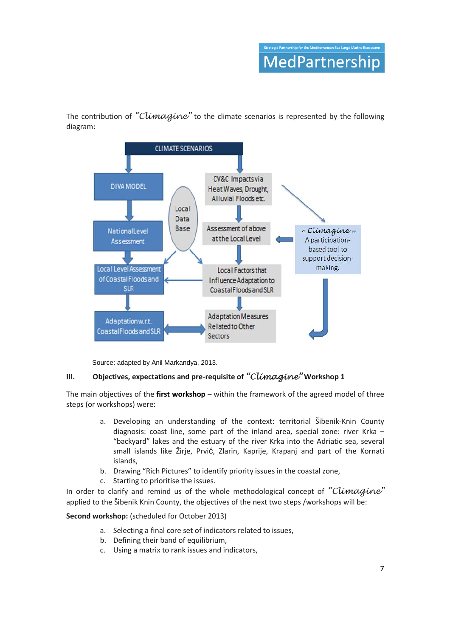The contribution of "Climagine" to the climate scenarios is represented by the following diagram:



Source: adapted by Anil Markandya, 2013.

#### **III.** Objectives, expectations and pre-requisite of "Climagine" Workshop 1

The main objectives of the **first workshop** – within the framework of the agreed model of three steps (or workshops) were:

- a. Developing an understanding of the context: territorial Šibenik-Knin County diagnosis: coast line, some part of the inland area, special zone: river Krka – "backyard" lakes and the estuary of the river Krka into the Adriatic sea, several small islands like Žirje, Prvić, Zlarin, Kaprije, Krapanj and part of the Kornati islands,
- b. Drawing "Rich Pictures" to identify priority issues in the coastal zone,
- c. Starting to prioritise the issues.

In order to clarify and remind us of the whole methodological concept of "Climagine" applied to the Šibenik Knin County, the objectives of the next two steps /workshops will be:

#### Second workshop: (scheduled for October 2013)

- a. Selecting a final core set of indicators related to issues,
- b. Defining their band of equilibrium,
- c. Using a matrix to rank issues and indicators,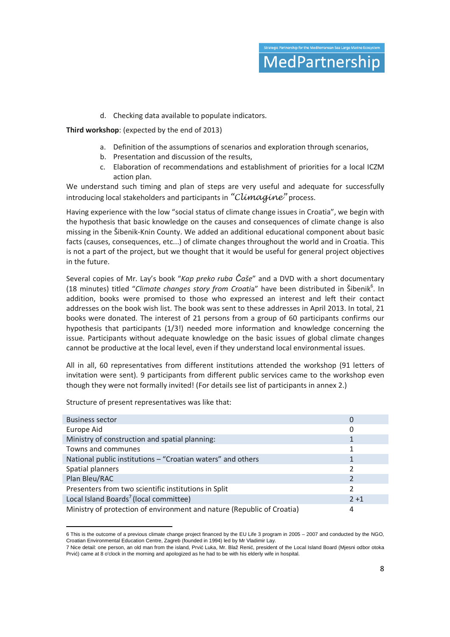d. Checking data available to populate indicators.

**Third workshop**: (expected by the end of 2013)

- a. Definition of the assumptions of scenarios and exploration through scenarios,
- b. Presentation and discussion of the results,
- c. Elaboration of recommendations and establishment of priorities for a local ICZM action plan.

We understand such timing and plan of steps are very useful and adequate for successfully introducing local stakeholders and participants in "Climagine" process.

Having experience with the low "social status of climate change issues in Croatia", we begin with the hypothesis that basic knowledge on the causes and consequences of climate change is also missing in the Šibenik-Knin County. We added an additional educational component about basic facts (causes, consequences, etc...) of climate changes throughout the world and in Croatia. This is not a part of the project, but we thought that it would be useful for general project objectives in the future.

Several copies of Mr. Lay's book "*Kap preko ruba Čaše*" and a DVD with a short documentary (18 minutes) titled "Climate changes story from Croatia" have been distributed in Šibenik<sup>6</sup>. In addition, books were promised to those who expressed an interest and left their contact addresses on the book wish list. The book was sent to these addresses in April 2013. In total, 21 books were donated. The interest of 21 persons from a group of 60 participants confirms our hypothesis that participants (1/3!) needed more information and knowledge concerning the issue. Participants without adequate knowledge on the basic issues of global climate changes cannot be productive at the local level, even if they understand local environmental issues.

All in all, 60 representatives from different institutions attended the workshop (91 letters of invitation were sent). 9 participants from different public services came to the workshop even though they were not formally invited! (For details see list of participants in annex 2.)

Structure of present representatives was like that:

<u>.</u>

| <b>Business sector</b>                                                 | 0              |
|------------------------------------------------------------------------|----------------|
| Europe Aid                                                             | 0              |
| Ministry of construction and spatial planning:                         |                |
| Towns and communes                                                     | 1              |
| National public institutions - "Croatian waters" and others            |                |
| Spatial planners                                                       | $\mathfrak z$  |
| Plan Bleu/RAC                                                          | $\mathfrak{p}$ |
| Presenters from two scientific institutions in Split                   |                |
| Local Island Boards <sup>7</sup> (local committee)                     | $2 + 1$        |
| Ministry of protection of environment and nature (Republic of Croatia) |                |

<sup>6</sup> This is the outcome of a previous climate change project financed by the EU Life 3 program in 2005 – 2007 and conducted by the NGO, Croatian Environmental Education Centre, Zagreb (founded in 1994) led by Mr Vladimir Lay.

<sup>7</sup> Nice detail: one person, an old man from the island, Prvić Luka, Mr. Blaž Renić, president of the Local Island Board (Mjesni odbor otoka Prvić) came at 8 o'clock in the morning and apologized as he had to be with his elderly wife in hospital.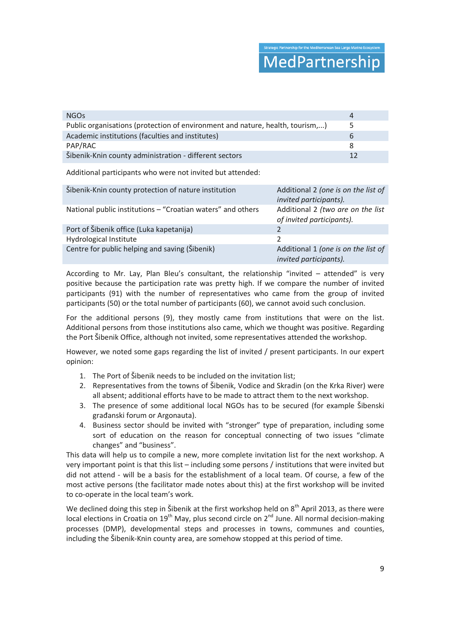## MedPartnership

| <b>NGO<sub>S</sub></b>                                                        | $\Delta$ |
|-------------------------------------------------------------------------------|----------|
| Public organisations (protection of environment and nature, health, tourism,) | 5        |
| Academic institutions (faculties and institutes)                              | h        |
| PAP/RAC                                                                       |          |
| Šibenik-Knin county administration - different sectors                        |          |

Additional participants who were not invited but attended:

| Šibenik-Knin county protection of nature institution        | Additional 2 (one is on the list of<br>invited participants).  |
|-------------------------------------------------------------|----------------------------------------------------------------|
| National public institutions - "Croatian waters" and others | Additional 2 (two are on the list<br>of invited participants). |
| Port of Šibenik office (Luka kapetanija)                    |                                                                |
| Hydrological Institute                                      | Ͻ.                                                             |
| Centre for public helping and saving (Šibenik)              | Additional 1 (one is on the list of<br>invited participants).  |

According to Mr. Lay, Plan Bleu's consultant, the relationship "invited – attended" is very positive because the participation rate was pretty high. If we compare the number of invited participants (91) with the number of representatives who came from the group of invited participants (50) or the total number of participants (60), we cannot avoid such conclusion.

For the additional persons (9), they mostly came from institutions that were on the list. Additional persons from those institutions also came, which we thought was positive. Regarding the Port Šibenik Office, although not invited, some representatives attended the workshop.

However, we noted some gaps regarding the list of invited / present participants. In our expert opinion:

- 1. The Port of Šibenik needs to be included on the invitation list;
- 2. Representatives from the towns of Šibenik, Vodice and Skradin (on the Krka River) were all absent; additional efforts have to be made to attract them to the next workshop.
- 3. The presence of some additional local NGOs has to be secured (for example Šibenski građanski forum or Argonauta).
- 4. Business sector should be invited with "stronger" type of preparation, including some sort of education on the reason for conceptual connecting of two issues "climate changes" and "business".

This data will help us to compile a new, more complete invitation list for the next workshop. A very important point is that this list – including some persons / institutions that were invited but did not attend - will be a basis for the establishment of a local team. Of course, a few of the most active persons (the facilitator made notes about this) at the first workshop will be invited to co-operate in the local team's work.

We declined doing this step in Šibenik at the first workshop held on 8<sup>th</sup> April 2013, as there were local elections in Croatia on  $19^{th}$  May, plus second circle on  $2^{nd}$  June. All normal decision-making processes (DMP), developmental steps and processes in towns, communes and counties, including the Šibenik-Knin county area, are somehow stopped at this period of time.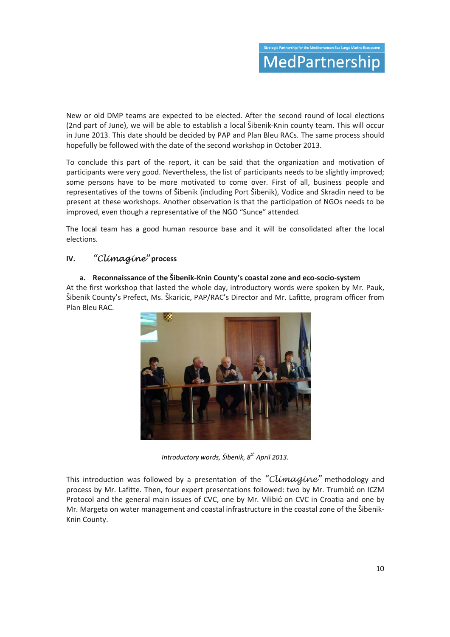New or old DMP teams are expected to be elected. After the second round of local elections (2nd part of June), we will be able to establish a local Šibenik-Knin county team. This will occur in June 2013. This date should be decided by PAP and Plan Bleu RACs. The same process should hopefully be followed with the date of the second workshop in October 2013.

To conclude this part of the report, it can be said that the organization and motivation of participants were very good. Nevertheless, the list of participants needs to be slightly improved; some persons have to be more motivated to come over. First of all, business people and representatives of the towns of Šibenik (including Port Šibenik), Vodice and Skradin need to be present at these workshops. Another observation is that the participation of NGOs needs to be improved, even though a representative of the NGO "Sunce" attended.

The local team has a good human resource base and it will be consolidated after the local elections.

#### **IV.** "Climagine" **process**

#### **a. Reconnaissance of the Šibenik-Knin County's coastal zone and eco-socio-system**

At the first workshop that lasted the whole day, introductory words were spoken by Mr. Pauk, Šibenik County's Prefect, Ms. Škaricic, PAP/RAC's Director and Mr. Lafitte, program officer from Plan Bleu RAC.



*Introductory words, Šibenik, 8th April 2013.* 

This introduction was followed by a presentation of the "Climagine" methodology and process by Mr. Lafitte. Then, four expert presentations followed: two by Mr. Trumbić on ICZM Protocol and the general main issues of CVC, one by Mr. Vilibić on CVC in Croatia and one by Mr. Margeta on water management and coastal infrastructure in the coastal zone of the Šibenik-Knin County.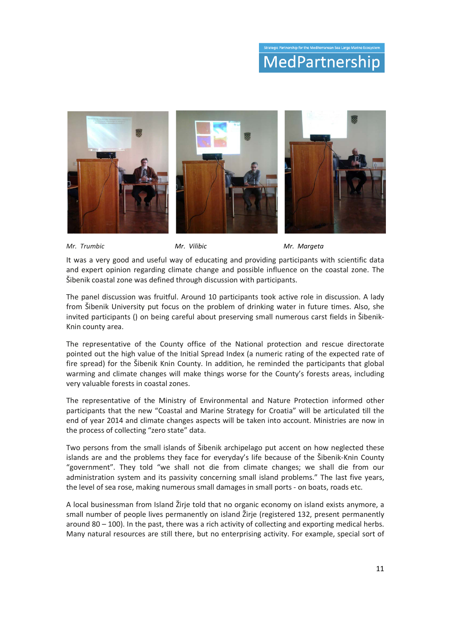## MedPartnership



*Mr. Trumbic Mr. Vilibic Mr. Margeta* 

It was a very good and useful way of educating and providing participants with scientific data and expert opinion regarding climate change and possible influence on the coastal zone. The Šibenik coastal zone was defined through discussion with participants.

The panel discussion was fruitful. Around 10 participants took active role in discussion. A lady from Šibenik University put focus on the problem of drinking water in future times. Also, she invited participants () on being careful about preserving small numerous carst fields in Šibenik-Knin county area.

The representative of the County office of the National protection and rescue directorate pointed out the high value of the Initial Spread Index (a numeric rating of the expected rate of fire spread) for the Šibenik Knin County. In addition, he reminded the participants that global warming and climate changes will make things worse for the County's forests areas, including very valuable forests in coastal zones.

The representative of the Ministry of Environmental and Nature Protection informed other participants that the new "Coastal and Marine Strategy for Croatia" will be articulated till the end of year 2014 and climate changes aspects will be taken into account. Ministries are now in the process of collecting "zero state" data.

Two persons from the small islands of Šibenik archipelago put accent on how neglected these islands are and the problems they face for everyday's life because of the Šibenik-Knin County "government". They told "we shall not die from climate changes; we shall die from our administration system and its passivity concerning small island problems." The last five years, the level of sea rose, making numerous small damages in small ports - on boats, roads etc.

A local businessman from Island Žirje told that no organic economy on island exists anymore, a small number of people lives permanently on island Žirje (registered 132, present permanently around  $80 - 100$ ). In the past, there was a rich activity of collecting and exporting medical herbs. Many natural resources are still there, but no enterprising activity. For example, special sort of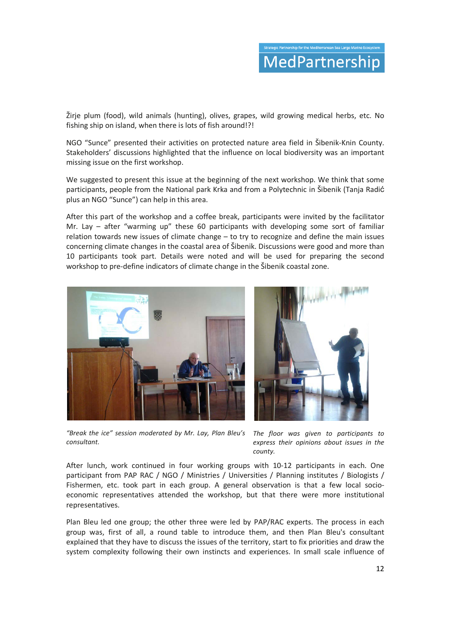Žirje plum (food), wild animals (hunting), olives, grapes, wild growing medical herbs, etc. No fishing ship on island, when there is lots of fish around!?!

NGO "Sunce" presented their activities on protected nature area field in Šibenik-Knin County. Stakeholders' discussions highlighted that the influence on local biodiversity was an important missing issue on the first workshop.

We suggested to present this issue at the beginning of the next workshop. We think that some participants, people from the National park Krka and from a Polytechnic in Šibenik (Tanja Radić plus an NGO "Sunce") can help in this area.

After this part of the workshop and a coffee break, participants were invited by the facilitator Mr. Lay – after "warming up" these 60 participants with developing some sort of familiar relation towards new issues of climate change – to try to recognize and define the main issues concerning climate changes in the coastal area of Šibenik. Discussions were good and more than 10 participants took part. Details were noted and will be used for preparing the second workshop to pre-define indicators of climate change in the Šibenik coastal zone.



*"Break the ice" session moderated by Mr. Lay, Plan Bleu's consultant.*

*The floor was given to participants to express their opinions about issues in the county.*

After lunch, work continued in four working groups with 10-12 participants in each. One participant from PAP RAC / NGO / Ministries / Universities / Planning institutes / Biologists / Fishermen, etc. took part in each group. A general observation is that a few local socioeconomic representatives attended the workshop, but that there were more institutional representatives.

Plan Bleu led one group; the other three were led by PAP/RAC experts. The process in each group was, first of all, a round table to introduce them, and then Plan Bleu's consultant explained that they have to discuss the issues of the territory, start to fix priorities and draw the system complexity following their own instincts and experiences. In small scale influence of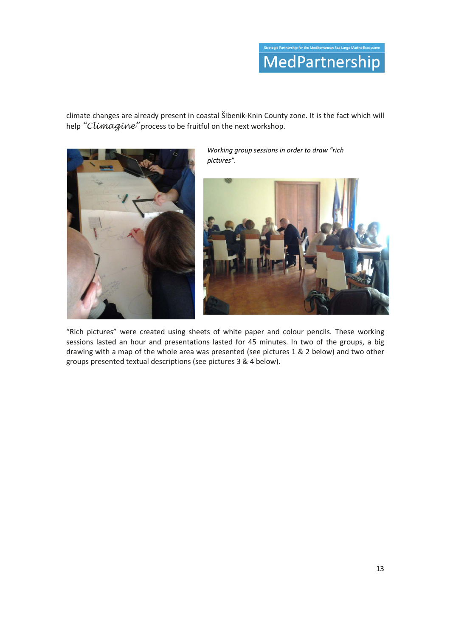# MedPartnership

climate changes are already present in coastal ŠIbenik-Knin County zone. It is the fact which will help "Climagine" process to be fruitful on the next workshop.



*Working group sessions in order to draw "rich pictures".* 



"Rich pictures" were created using sheets of white paper and colour pencils. These working sessions lasted an hour and presentations lasted for 45 minutes. In two of the groups, a big drawing with a map of the whole area was presented (see pictures 1 & 2 below) and two other groups presented textual descriptions (see pictures 3 & 4 below).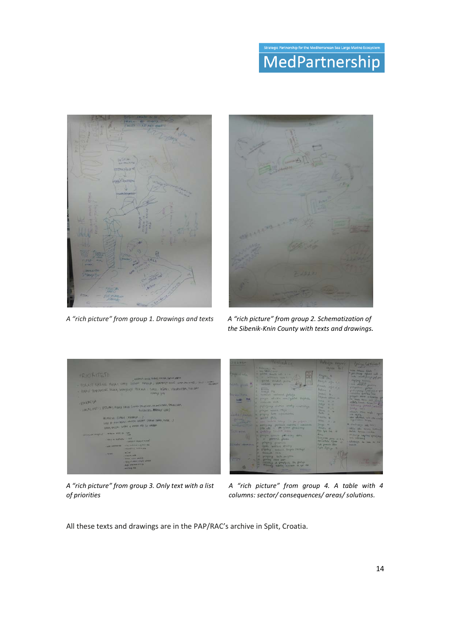## rship for the Mediterranean Sea Large Marine Ecosy MedPartnership



*A "rich picture" from group 1. Drawings and texts A "rich picture" from group 2. Schematization of* 



*the Sibenik-Knin County with texts and drawings*.



*A "rich picture" from group 3. Only text with a list of priorities*



*A "rich picture" from group 4. A table with 4 columns: sector/ consequences/ areas/ solutions.*

All these texts and drawings are in the PAP/RAC's archive in Split, Croatia.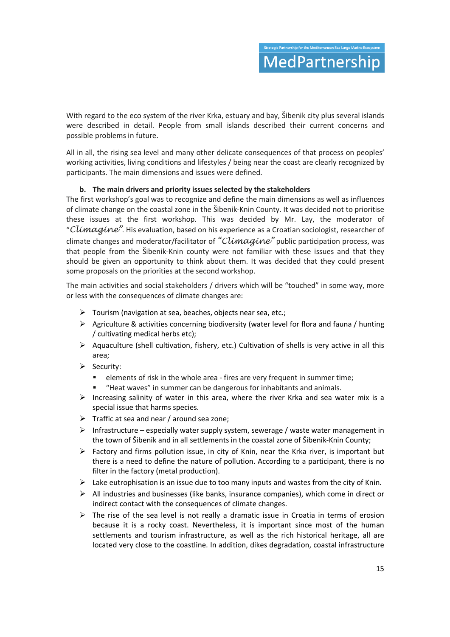With regard to the eco system of the river Krka, estuary and bay, Šibenik city plus several islands were described in detail. People from small islands described their current concerns and possible problems in future.

All in all, the rising sea level and many other delicate consequences of that process on peoples' working activities, living conditions and lifestyles / being near the coast are clearly recognized by participants. The main dimensions and issues were defined.

#### **b. The main drivers and priority issues selected by the stakeholders**

The first workshop's goal was to recognize and define the main dimensions as well as influences of climate change on the coastal zone in the Šibenik-Knin County. It was decided not to prioritise these issues at the first workshop. This was decided by Mr. Lay, the moderator of "Climagine". His evaluation, based on his experience as a Croatian sociologist, researcher of climate changes and moderator/facilitator of "Climagine" public participation process, was that people from the Šibenik-Knin county were not familiar with these issues and that they should be given an opportunity to think about them. It was decided that they could present some proposals on the priorities at the second workshop.

The main activities and social stakeholders / drivers which will be "touched" in some way, more or less with the consequences of climate changes are:

- $\triangleright$  Tourism (navigation at sea, beaches, objects near sea, etc.;
- Agriculture & activities concerning biodiversity (water level for flora and fauna / hunting / cultivating medical herbs etc);
- $\triangleright$  Aquaculture (shell cultivation, fishery, etc.) Cultivation of shells is very active in all this area;
- $\triangleright$  Security:
	- elements of risk in the whole area - fires are very frequent in summer time;
	- -"Heat waves" in summer can be dangerous for inhabitants and animals.
- $\triangleright$  Increasing salinity of water in this area, where the river Krka and sea water mix is a special issue that harms species.
- $\triangleright$  Traffic at sea and near / around sea zone:
- $\triangleright$  Infrastructure especially water supply system, sewerage / waste water management in the town of Šibenik and in all settlements in the coastal zone of Šibenik-Knin County;
- $\triangleright$  Factory and firms pollution issue, in city of Knin, near the Krka river, is important but there is a need to define the nature of pollution. According to a participant, there is no filter in the factory (metal production).
- $\triangleright$  Lake eutrophisation is an issue due to too many inputs and wastes from the city of Knin.
- $\triangleright$  All industries and businesses (like banks, insurance companies), which come in direct or indirect contact with the consequences of climate changes.
- $\triangleright$  The rise of the sea level is not really a dramatic issue in Croatia in terms of erosion because it is a rocky coast. Nevertheless, it is important since most of the human settlements and tourism infrastructure, as well as the rich historical heritage, all are located very close to the coastline. In addition, dikes degradation, coastal infrastructure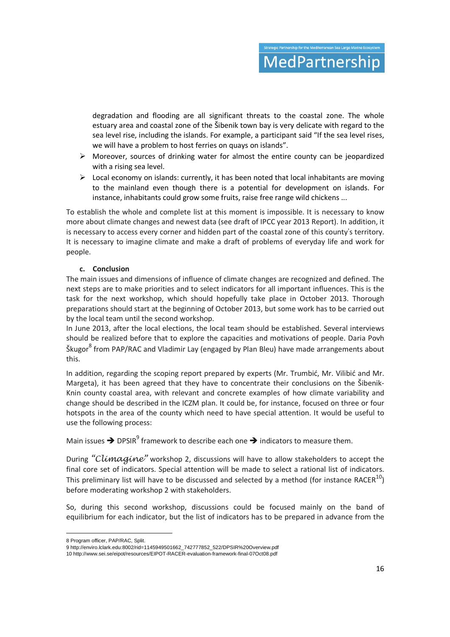degradation and flooding are all significant threats to the coastal zone. The whole estuary area and coastal zone of the Šibenik town bay is very delicate with regard to the sea level rise, including the islands. For example, a participant said "If the sea level rises, we will have a problem to host ferries on quays on islands".

- $\triangleright$  Moreover, sources of drinking water for almost the entire county can be jeopardized with a rising sea level.
- $\triangleright$  Local economy on islands: currently, it has been noted that local inhabitants are moving to the mainland even though there is a potential for development on islands. For instance, inhabitants could grow some fruits, raise free range wild chickens ...

To establish the whole and complete list at this moment is impossible. It is necessary to know more about climate changes and newest data (see draft of IPCC year 2013 Report). In addition, it is necessary to access every corner and hidden part of the coastal zone of this county's territory. It is necessary to imagine climate and make a draft of problems of everyday life and work for people.

#### **c. Conclusion**

The main issues and dimensions of influence of climate changes are recognized and defined. The next steps are to make priorities and to select indicators for all important influences. This is the task for the next workshop, which should hopefully take place in October 2013. Thorough preparations should start at the beginning of October 2013, but some work has to be carried out by the local team until the second workshop.

In June 2013, after the local elections, the local team should be established. Several interviews should be realized before that to explore the capacities and motivations of people. Daria Povh Škugor<sup>8</sup> from PAP/RAC and Vladimir Lay (engaged by Plan Bleu) have made arrangements about this.

In addition, regarding the scoping report prepared by experts (Mr. Trumbić, Mr. Vilibić and Mr. Margeta), it has been agreed that they have to concentrate their conclusions on the Šibenik-Knin county coastal area, with relevant and concrete examples of how climate variability and change should be described in the ICZM plan. It could be, for instance, focused on three or four hotspots in the area of the county which need to have special attention. It would be useful to use the following process:

Main issues  $\rightarrow$  DPSIR<sup>9</sup> framework to describe each one  $\rightarrow$  indicators to measure them.

During "Climagine" workshop 2, discussions will have to allow stakeholders to accept the final core set of indicators. Special attention will be made to select a rational list of indicators. This preliminary list will have to be discussed and selected by a method (for instance RACER $^{10}$ ) before moderating workshop 2 with stakeholders.

So, during this second workshop, discussions could be focused mainly on the band of equilibrium for each indicator, but the list of indicators has to be prepared in advance from the

<u>.</u>

<sup>8</sup> Program officer, PAP/RAC, Split.

<sup>9</sup> http://enviro.lclark.edu:8002/rid=1145949501662\_742777852\_522/DPSIR%20Overview.pdf

<sup>10</sup> http://www.sei.se/eipot/resources/EIPOT-RACER-evaluation-framework-final-07Oct08.pdf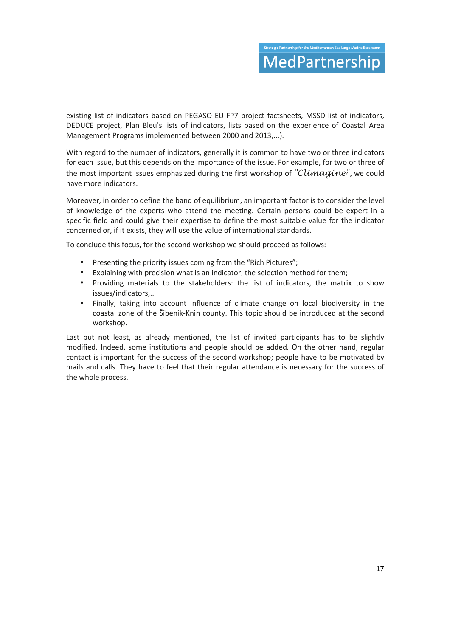existing list of indicators based on PEGASO EU-FP7 project factsheets, MSSD list of indicators, DEDUCE project, Plan Bleu's lists of indicators, lists based on the experience of Coastal Area Management Programs implemented between 2000 and 2013,...).

With regard to the number of indicators, generally it is common to have two or three indicators for each issue, but this depends on the importance of the issue. For example, for two or three of the most important issues emphasized during the first workshop of "Climagine", we could have more indicators.

Moreover, in order to define the band of equilibrium, an important factor is to consider the level of knowledge of the experts who attend the meeting. Certain persons could be expert in a specific field and could give their expertise to define the most suitable value for the indicator concerned or, if it exists, they will use the value of international standards.

To conclude this focus, for the second workshop we should proceed as follows:

- Presenting the priority issues coming from the "Rich Pictures";
- Explaining with precision what is an indicator, the selection method for them;
- Providing materials to the stakeholders: the list of indicators, the matrix to show issues/indicators,..
- Finally, taking into account influence of climate change on local biodiversity in the coastal zone of the Šibenik-Knin county. This topic should be introduced at the second workshop.

Last but not least, as already mentioned, the list of invited participants has to be slightly modified. Indeed, some institutions and people should be added. On the other hand, regular contact is important for the success of the second workshop; people have to be motivated by mails and calls. They have to feel that their regular attendance is necessary for the success of the whole process.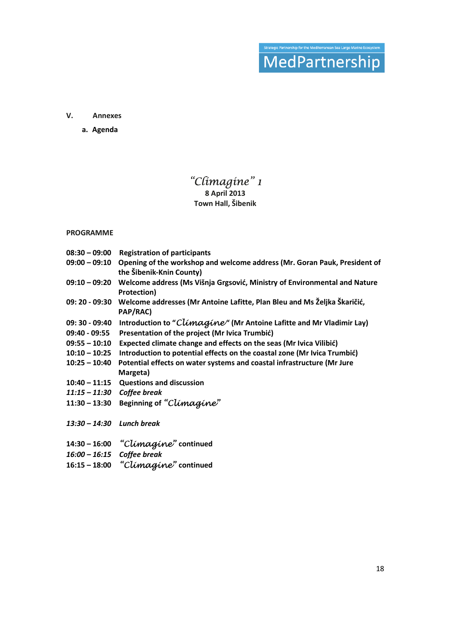# Strategic Partnership for the Mediterranean Sea Large Marine Ecosystem<br>
MedPartnerShip

#### **V. Annexes**

**a. Agenda** 

## "Climagine" 1

**8 April 2013 Town Hall, Šibenik**

#### **PROGRAMME**

|                              | 08:30 - 09:00 Registration of participants                                                                          |
|------------------------------|---------------------------------------------------------------------------------------------------------------------|
|                              | 09:00 - 09:10 Opening of the workshop and welcome address (Mr. Goran Pauk, President of<br>the Šibenik-Knin County) |
| $09:10 - 09:20$              | Welcome address (Ms Višnja Grgsović, Ministry of Environmental and Nature<br>Protection)                            |
|                              | 09: 20 - 09:30 Welcome addresses (Mr Antoine Lafitte, Plan Bleu and Ms Željka Škaričić,<br>PAP/RAC)                 |
| 09: 30 - 09:40               | Introduction to "Climagine" (Mr Antoine Lafitte and Mr Vladimir Lay)                                                |
| 09:40 - 09:55                | Presentation of the project (Mr Ivica Trumbić)                                                                      |
|                              | 09:55 - 10:10 Expected climate change and effects on the seas (Mr Ivica Vilibić)                                    |
| $10:10 - 10:25$              | Introduction to potential effects on the coastal zone (Mr Ivica Trumbić)                                            |
| $10:25 - 10:40$              | Potential effects on water systems and coastal infrastructure (Mr Jure                                              |
|                              | Margeta)                                                                                                            |
|                              | 10:40 - 11:15 Questions and discussion                                                                              |
| $11:15 - 11:30$ Coffee break |                                                                                                                     |
|                              | 11:30 - 13:30 Beginning of "Climagine"                                                                              |
| $13:30 - 14:30$ Lunch break  |                                                                                                                     |
|                              | 14:30 - 16:00 "Climagine" continued                                                                                 |
| 16:00 - 16:15 Coffee break   |                                                                                                                     |
|                              | 16:15 - 18:00 "Climagine" continued                                                                                 |
|                              |                                                                                                                     |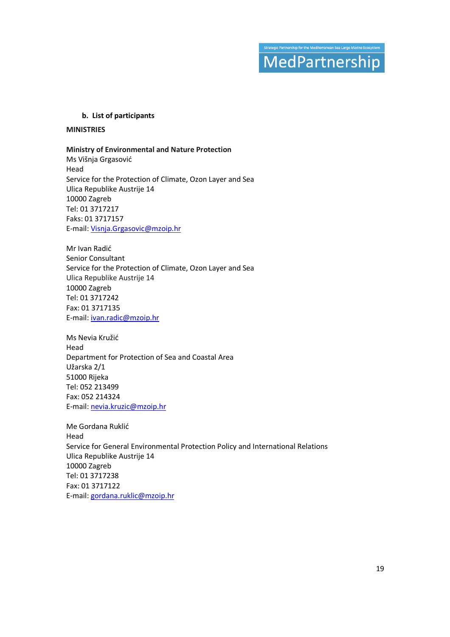## trategic Partnership for the Mediterranean Sea Large Marine Ecosyst MedPartnership

#### **b. List of participants**

#### **MINISTRIES**

#### **Ministry of Environmental and Nature Protection**

Ms Višnja Grgasović Head Service for the Protection of Climate, Ozon Layer and Sea Ulica Republike Austrije 14 10000 Zagreb Tel: 01 3717217 Faks: 01 3717157 E-mail: Visnja.Grgasovic@mzoip.hr

Mr Ivan Radić Senior Consultant Service for the Protection of Climate, Ozon Layer and Sea Ulica Republike Austrije 14 10000 Zagreb Tel: 01 3717242 Fax: 01 3717135 E-mail: ivan.radic@mzoip.hr

Ms Nevia Kružić Head Department for Protection of Sea and Coastal Area Užarska 2/1 51000 Rijeka Tel: 052 213499 Fax: 052 214324 E-mail: nevia.kruzic@mzoip.hr

Me Gordana Ruklić Head Service for General Environmental Protection Policy and International Relations Ulica Republike Austrije 14 10000 Zagreb Tel: 01 3717238 Fax: 01 3717122 E-mail: gordana.ruklic@mzoip.hr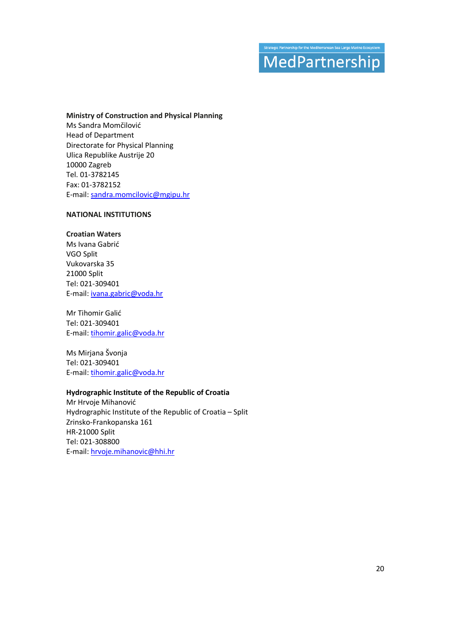## gic Partnership for the Mediterranean Sea Large Marine Ecosys MedPartnership

#### **Ministry of Construction and Physical Planning**

Ms Sandra Momčilović Head of Department Directorate for Physical Planning Ulica Republike Austrije 20 10000 Zagreb Tel. 01-3782145 Fax: 01-3782152 E-mail: sandra.momcilovic@mgipu.hr

#### **NATIONAL INSTITUTIONS**

#### **Croatian Waters**

Ms Ivana Gabrić VGO Split Vukovarska 35 21000 Split Tel: 021-309401 E-mail: ivana.gabric@voda.hr

Mr Tihomir Galić Tel: 021-309401 E-mail: tihomir.galic@voda.hr

Ms Mirjana Švonja Tel: 021-309401 E-mail: tihomir.galic@voda.hr

#### **Hydrographic Institute of the Republic of Croatia**

Mr Hrvoje Mihanović Hydrographic Institute of the Republic of Croatia – Split Zrinsko-Frankopanska 161 HR-21000 Split Tel: 021-308800 E-mail: hrvoje.mihanovic@hhi.hr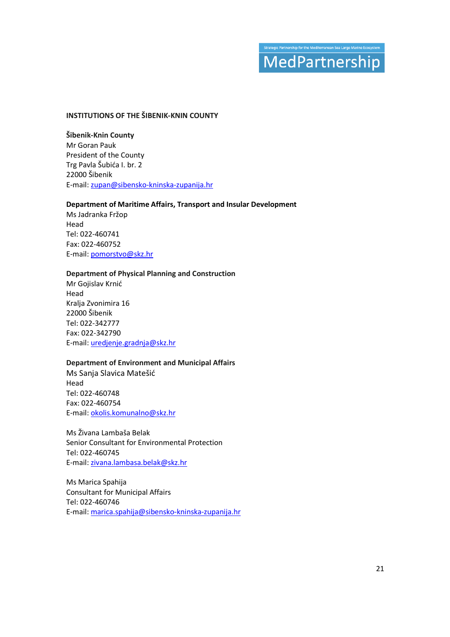## trategic Partnership for the Mediterranean Sea Large Marine Ecosys MedPartnership

#### **INSTITUTIONS OF THE ŠIBENIK-KNIN COUNTY**

**Šibenik-Knin County**  Mr Goran Pauk President of the County Trg Pavla Šubića I. br. 2 22000 Šibenik E-mail: zupan@sibensko-kninska-zupanija.hr

#### **Department of Maritime Affairs, Transport and Insular Development**

Ms Jadranka Fržop Head Tel: 022-460741 Fax: 022-460752 E-mail: pomorstvo@skz.hr

#### **Department of Physical Planning and Construction**

Mr Gojislav Krnić Head Kralja Zvonimira 16 22000 Šibenik Tel: 022-342777 Fax: 022-342790 E-mail: uredjenje.gradnja@skz.hr

#### **Department of Environment and Municipal Affairs**

Ms Sanja Slavica Matešić Head Tel: 022-460748 Fax: 022-460754 E-mail: okolis.komunalno@skz.hr

Ms Živana Lambaša Belak Senior Consultant for Environmental Protection Tel: 022-460745 E-mail: zivana.lambasa.belak@skz.hr

Ms Marica Spahija Consultant for Municipal Affairs Tel: 022-460746 E-mail: marica.spahija@sibensko-kninska-zupanija.hr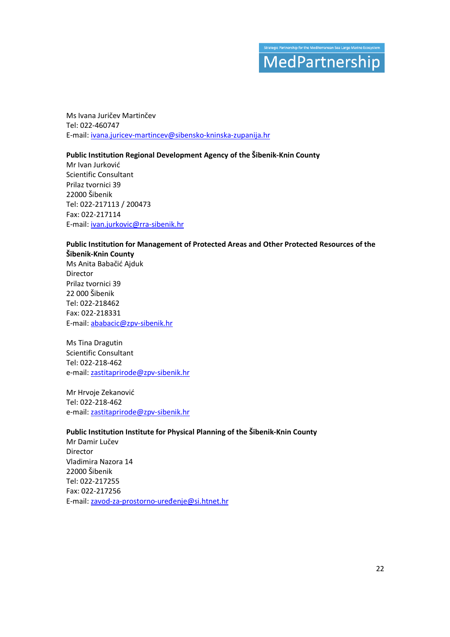## .<br>Strategic Partnership for the Mediterranean Sea Large Marine Ecosyst MedPartnership

Ms Ivana Juričev Martinčev Tel: 022-460747 E-mail: ivana.juricev-martincev@sibensko-kninska-zupanija.hr

#### **Public Institution Regional Development Agency of the Šibenik-Knin County**

Mr Ivan Jurković Scientific Consultant Prilaz tvornici 39 22000 Šibenik Tel: 022-217113 / 200473 Fax: 022-217114 E-mail: ivan.jurkovic@rra-sibenik.hr

#### **Public Institution for Management of Protected Areas and Other Protected Resources of the Šibenik-Knin County**

Ms Anita Babačić Ajduk Director Prilaz tvornici 39 22 000 Šibenik Tel: 022-218462 Fax: 022-218331 E-mail: ababacic@zpv-sibenik.hr

Ms Tina Dragutin Scientific Consultant Tel: 022-218-462 e-mail: zastitaprirode@zpv-sibenik.hr

Mr Hrvoje Zekanović Tel: 022-218-462 e-mail: zastitaprirode@zpv-sibenik.hr

#### **Public Institution Institute for Physical Planning of the Šibenik-Knin County**

Mr Damir Lučev Director Vladimira Nazora 14 22000 Šibenik Tel: 022-217255 Fax: 022-217256 E-mail: zavod-za-prostorno-uređenje@si.htnet.hr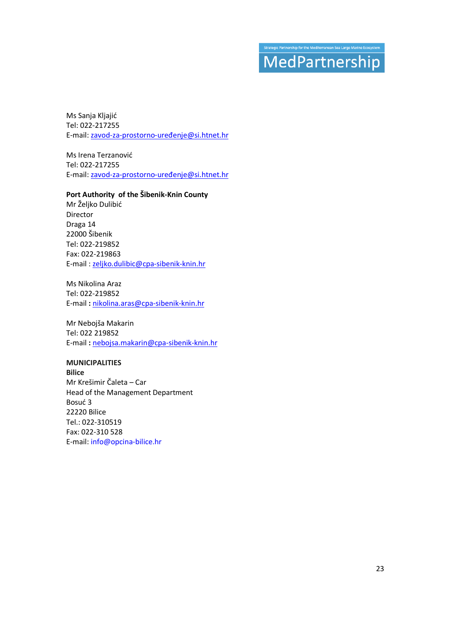## .<br>Strategic Partnership for the Mediterranean Sea Large Marine Ecosyste MedPartnership

Ms Sanja Kljajić Tel: 022-217255 E-mail: zavod-za-prostorno-uređenje@si.htnet.hr

Ms Irena Terzanović Tel: 022-217255 E-mail: zavod-za-prostorno-uređenje@si.htnet.hr

#### **Port Authority of the Šibenik-Knin County**

Mr Željko Dulibić Director Draga 14 22000 Šibenik Tel: 022-219852 Fax: 022-219863 E-mail : zeljko.dulibic@cpa-sibenik-knin.hr

Ms Nikolina Araz Tel: 022-219852 E-mail **:** nikolina.aras@cpa-sibenik-knin.hr

Mr Nebojša Makarin Tel: 022 219852 E-mail **:** nebojsa.makarin@cpa-sibenik-knin.hr

#### **MUNICIPALITIES**

**Bilice**  Mr Krešimir Čaleta – Car Head of the Management Department Bosuć 3 22220 Bilice Tel.: 022-310519 Fax: 022-310 528 E-mail: info@opcina-bilice.hr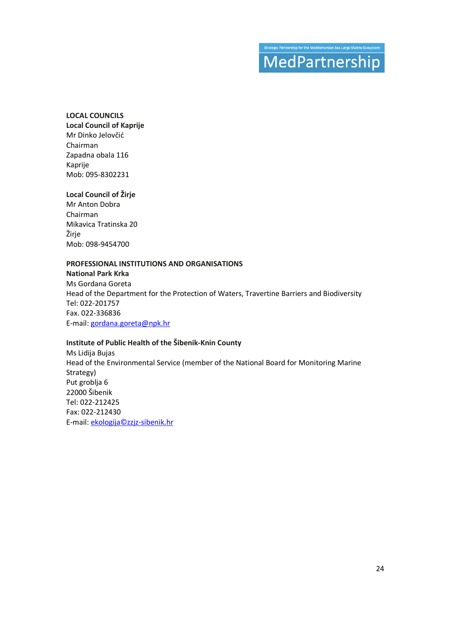## .<br>Strategic Partnership for the Mediterranean Sea Large Marine Ecosyste MedPartnership

#### **LOCAL COUNCILS**

**Local Council of Kaprije**  Mr Dinko Jelovčić Chairman Zapadna obala 116 Kaprije Mob: 095-8302231

#### **Local Council of Žirje**

Mr Anton Dobra Chairman Mikavica Tratinska 20 Žirje Mob: 098-9454700

#### **PROFESSIONAL INSTITUTIONS AND ORGANISATIONS**

**National Park Krka**  Ms Gordana Goreta Head of the Department for the Protection of Waters, Travertine Barriers and Biodiversity Tel: 022-201757 Fax. 022-336836 E-mail: gordana.goreta@npk.hr

#### **Institute of Public Health of the Šibenik-Knin County**

Ms Lidija Bujas Head of the Environmental Service (member of the National Board for Monitoring Marine Strategy) Put groblja 6 22000 Šibenik Tel: 022-212425 Fax: 022-212430 E-mail: ekologija©zzjz-sibenik.hr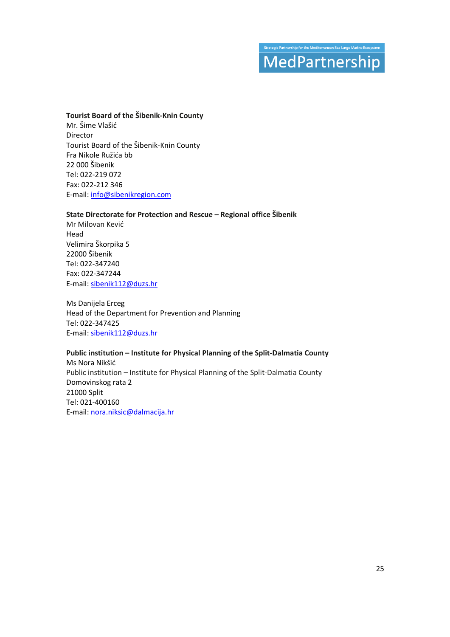## gic Partnership for the Mediterranean Sea Large Marine Ecosy MedPartnership

#### **Tourist Board of the Šibenik-Knin County**

Mr. Šime Vlašić Director Tourist Board of the Šibenik-Knin County Fra Nikole Ružića bb 22 000 Šibenik Tel: 022-219 072 Fax: 022-212 346 E-mail: info@sibenikregion.com

#### **State Directorate for Protection and Rescue – Regional office Šibenik**

Mr Milovan Kević Head Velimira Škorpika 5 22000 Šibenik Tel: 022-347240 Fax: 022-347244 E-mail: sibenik112@duzs.hr

Ms Danijela Erceg Head of the Department for Prevention and Planning Tel: 022-347425 E-mail: sibenik112@duzs.hr

#### **Public institution – Institute for Physical Planning of the Split-Dalmatia County**

Ms Nora Nikšić Public institution – Institute for Physical Planning of the Split-Dalmatia County Domovinskog rata 2 21000 Split Tel: 021-400160 E-mail: nora.niksic@dalmacija.hr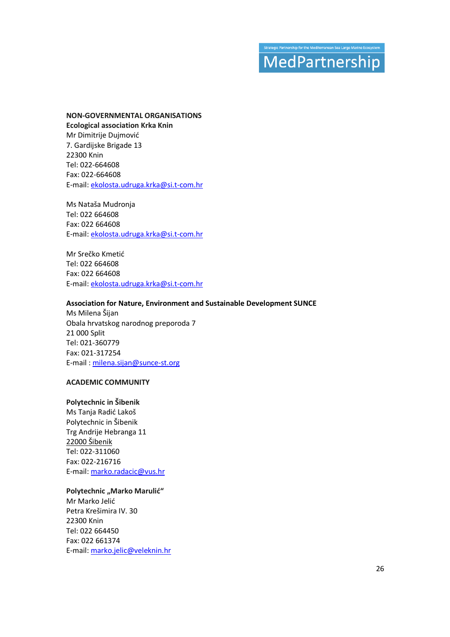## rategic Partnership for the Mediterranean Sea Large Marine Ecosyst MedPartnership

#### **NON-GOVERNMENTAL ORGANISATIONS**

**Ecological association Krka Knin**  Mr Dimitrije Dujmović 7. Gardijske Brigade 13 22300 Knin Tel: 022-664608 Fax: 022-664608 E-mail: ekolosta.udruga.krka@si.t-com.hr

Ms Nataša Mudronja Tel: 022 664608 Fax: 022 664608 E-mail: ekolosta.udruga.krka@si.t-com.hr

Mr Srečko Kmetić Tel: 022 664608 Fax: 022 664608 E-mail: ekolosta.udruga.krka@si.t-com.hr

#### **Association for Nature, Environment and Sustainable Development SUNCE**

Ms Milena Šijan Obala hrvatskog narodnog preporoda 7 21 000 Split Tel: 021-360779 Fax: 021-317254 E-mail : milena.sijan@sunce-st.org

#### **ACADEMIC COMMUNITY**

#### **Polytechnic in Šibenik**

Ms Tanja Radić Lakoš Polytechnic in Šibenik Trg Andrije Hebranga 11 22000 Šibenik Tel: 022-311060 Fax: 022-216716 E-mail: marko.radacic@vus.hr

#### **Polytechnic "Marko Marulić"**

Mr Marko Jelić Petra Krešimira IV. 30 22300 Knin Tel: 022 664450 Fax: 022 661374 E-mail: marko.jelic@veleknin.hr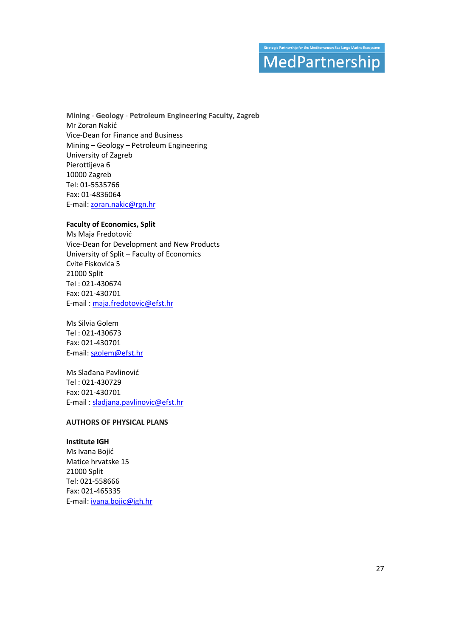## gic Partnership for the Mediterranean Sea Large Marine Ecosy: MedPartnership

**Mining** - **Geology** - **Petroleum Engineering Faculty, Zagreb** Mr Zoran Nakić Vice-Dean for Finance and Business Mining – Geology – Petroleum Engineering University of Zagreb Pierottijeva 6 10000 Zagreb Tel: 01-5535766 Fax: 01-4836064 E-mail: zoran.nakic@rgn.hr

#### **Faculty of Economics, Split**

Ms Maja Fredotović Vice-Dean for Development and New Products University of Split – Faculty of Economics Cvite Fiskovića 5 21000 Split Tel : 021-430674 Fax: 021-430701 E-mail : maja.fredotovic@efst.hr

Ms Silvia Golem Tel : 021-430673 Fax: 021-430701 E-mail: sgolem@efst.hr

Ms Slađana Pavlinović Tel : 021-430729 Fax: 021-430701 E-mail : sladjana.pavlinovic@efst.hr

#### **AUTHORS OF PHYSICAL PLANS**

#### **Institute IGH**

Ms Ivana Bojić Matice hrvatske 15 21000 Split Tel: 021-558666 Fax: 021-465335 E-mail: ivana*.*bojic*@*igh*.*hr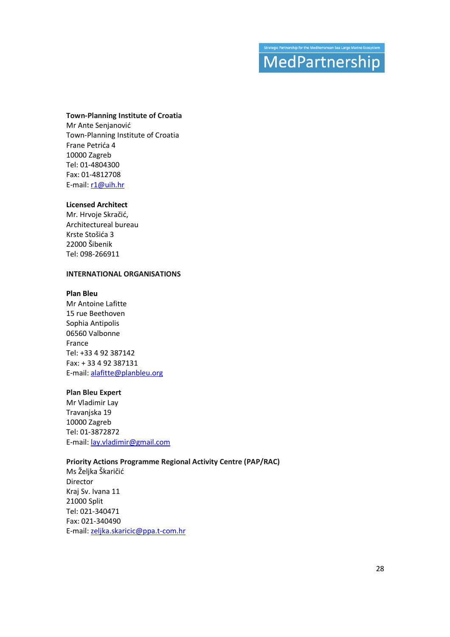## trategic Partnership for the Mediterranean Sea Large Marine Ecosyst MedPartnership

#### **Town-Planning Institute of Croatia**

Mr Ante Senjanović Town-Planning Institute of Croatia Frane Petrića 4 10000 Zagreb Tel: 01-4804300 Fax: 01-4812708 E-mail: r1@uih.hr

#### **Licensed Architect**

Mr. Hrvoje Skračić, Architectureal bureau Krste Stošića 3 22000 Šibenik Tel: 098-266911

#### **INTERNATIONAL ORGANISATIONS**

#### **Plan Bleu**

Mr Antoine Lafitte 15 rue Beethoven Sophia Antipolis 06560 Valbonne France Tel: +33 4 92 387142 Fax: + 33 4 92 387131 E-mail: alafitte@planbleu.org

#### **Plan Bleu Expert**

Mr Vladimir Lay Travanjska 19 10000 Zagreb Tel: 01-3872872 E-mail: lay.vladimir@gmail.com

#### **Priority Actions Programme Regional Activity Centre (PAP/RAC)**

Ms Željka Škaričić Director Kraj Sv. Ivana 11 21000 Split Tel: 021-340471 Fax: 021-340490 E-mail: zeljka.skaricic@ppa.t-com.hr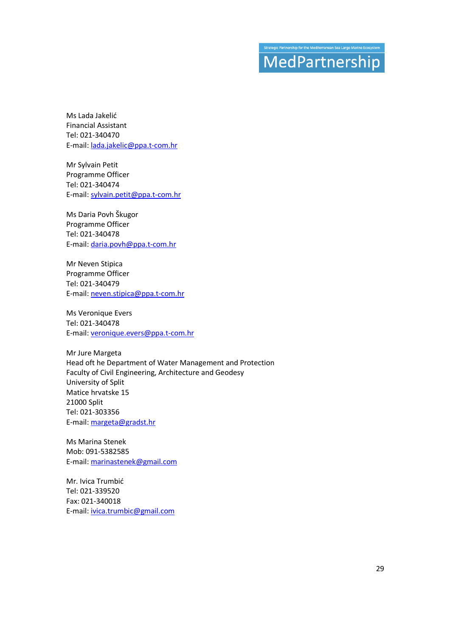## trategic Partnership for the Mediterranean Sea Large Marine Ecosyst MedPartnership

Ms Lada Jakelić Financial Assistant Tel: 021-340470 E-mail: lada.jakelic@ppa.t-com.hr

Mr Sylvain Petit Programme Officer Tel: 021-340474 E-mail: sylvain.petit@ppa.t-com.hr

Ms Daria Povh Škugor Programme Officer Tel: 021-340478 E-mail: daria.povh@ppa.t-com.hr

Mr Neven Stipica Programme Officer Tel: 021-340479 E-mail: neven.stipica@ppa.t-com.hr

Ms Veronique Evers Tel: 021-340478 E-mail: veronique.evers@ppa.t-com.hr

Mr Jure Margeta Head oft he Department of Water Management and Protection Faculty of Civil Engineering, Architecture and Geodesy University of Split Matice hrvatske 15 21000 Split Tel: 021-303356 E-mail: margeta@gradst.hr

Ms Marina Stenek Mob: 091-5382585 E-mail: marinastenek@gmail.com

Mr. Ivica Trumbić Tel: 021-339520 Fax: 021-340018 E-mail: ivica.trumbic@gmail.com